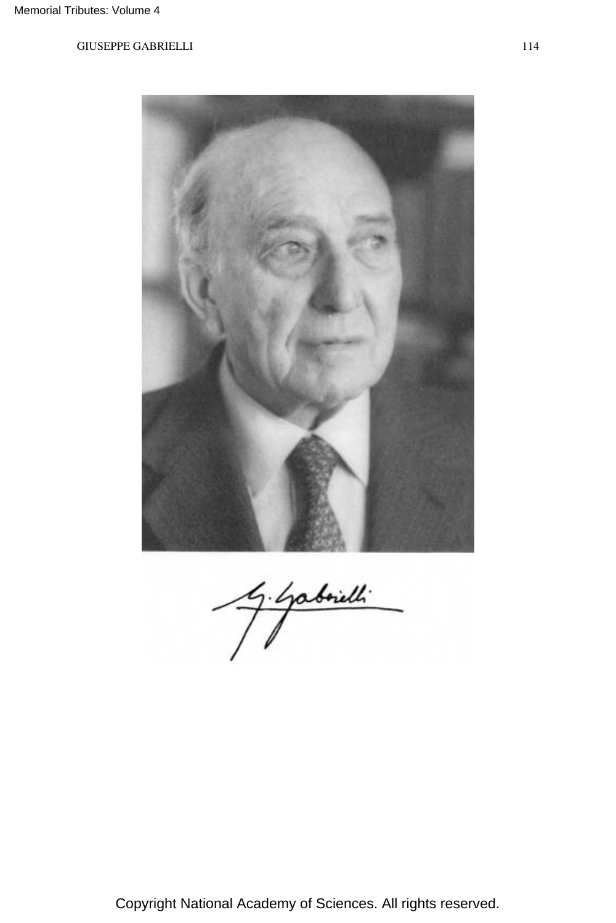# GIUSEPPE GABRIELLI 114



· Gabrielli

Copyright National Academy of Sciences. All rights reserved.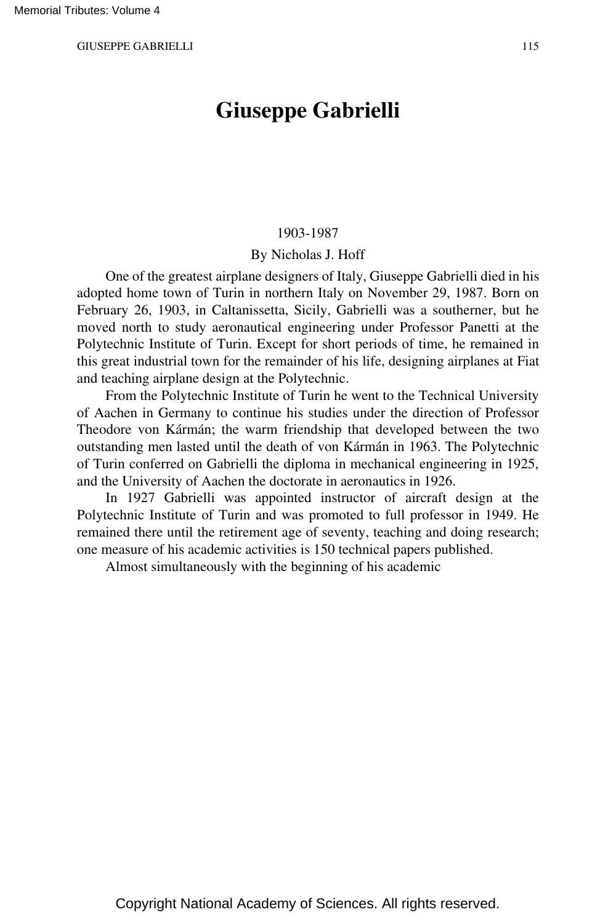# **Giuseppe Gabrielli**

#### 1903-1987

#### By Nicholas J. Hoff

One of the greatest airplane designers of Italy, Giuseppe Gabrielli died in his adopted home town of Turin in northern Italy on November 29, 1987. Born on February 26, 1903, in Caltanissetta, Sicily, Gabrielli was a southerner, but he moved north to study aeronautical engineering under Professor Panetti at the Polytechnic Institute of Turin. Except for short periods of time, he remained in this great industrial town for the remainder of his life, designing airplanes at Fiat and teaching airplane design at the Polytechnic.

From the Polytechnic Institute of Turin he went to the Technical University of Aachen in Germany to continue his studies under the direction of Professor Theodore von Kármán; the warm friendship that developed between the two outstanding men lasted until the death of von Kármán in 1963. The Polytechnic of Turin conferred on Gabrielli the diploma in mechanical engineering in 1925, and the University of Aachen the doctorate in aeronautics in 1926.

In 1927 Gabrielli was appointed instructor of aircraft design at the Polytechnic Institute of Turin and was promoted to full professor in 1949. He remained there until the retirement age of seventy, teaching and doing research; one measure of his academic activities is 150 technical papers published.

Almost simultaneously with the beginning of his academic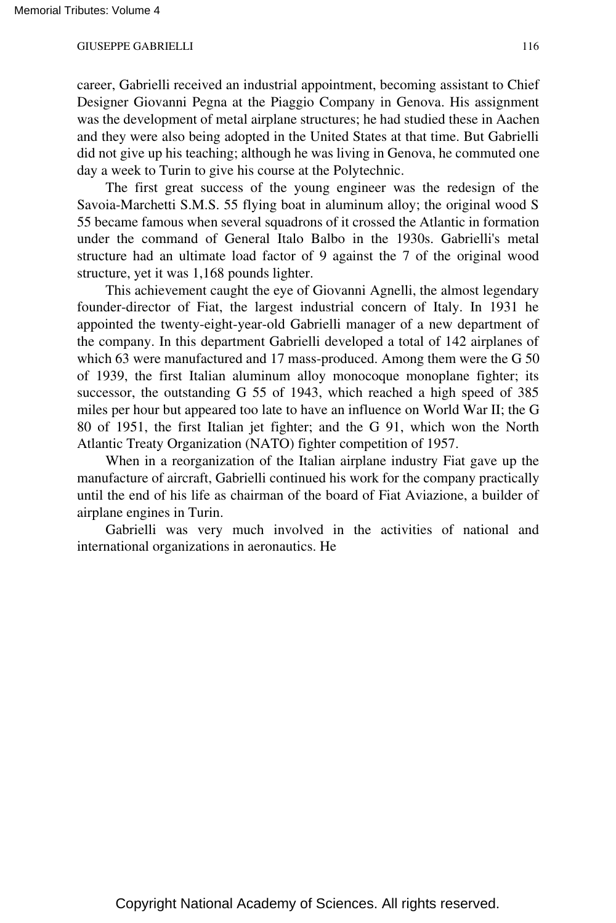## GIUSEPPE GABRIELLI 116

career, Gabrielli received an industrial appointment, becoming assistant to Chief Designer Giovanni Pegna at the Piaggio Company in Genova. His assignment was the development of metal airplane structures; he had studied these in Aachen and they were also being adopted in the United States at that time. But Gabrielli did not give up his teaching; although he was living in Genova, he commuted one day a week to Turin to give his course at the Polytechnic.

The first great success of the young engineer was the redesign of the Savoia-Marchetti S.M.S. 55 flying boat in aluminum alloy; the original wood S 55 became famous when several squadrons of it crossed the Atlantic in formation under the command of General Italo Balbo in the 1930s. Gabrielli's metal structure had an ultimate load factor of 9 against the 7 of the original wood structure, yet it was 1,168 pounds lighter.

This achievement caught the eye of Giovanni Agnelli, the almost legendary founder-director of Fiat, the largest industrial concern of Italy. In 1931 he appointed the twenty-eight-year-old Gabrielli manager of a new department of the company. In this department Gabrielli developed a total of 142 airplanes of which 63 were manufactured and 17 mass-produced. Among them were the G 50 of 1939, the first Italian aluminum alloy monocoque monoplane fighter; its successor, the outstanding G 55 of 1943, which reached a high speed of 385 miles per hour but appeared too late to have an influence on World War II; the G 80 of 1951, the first Italian jet fighter; and the G 91, which won the North Atlantic Treaty Organization (NATO) fighter competition of 1957.

When in a reorganization of the Italian airplane industry Fiat gave up the manufacture of aircraft, Gabrielli continued his work for the company practically until the end of his life as chairman of the board of Fiat Aviazione, a builder of airplane engines in Turin.

Gabrielli was very much involved in the activities of national and international organizations in aeronautics. He